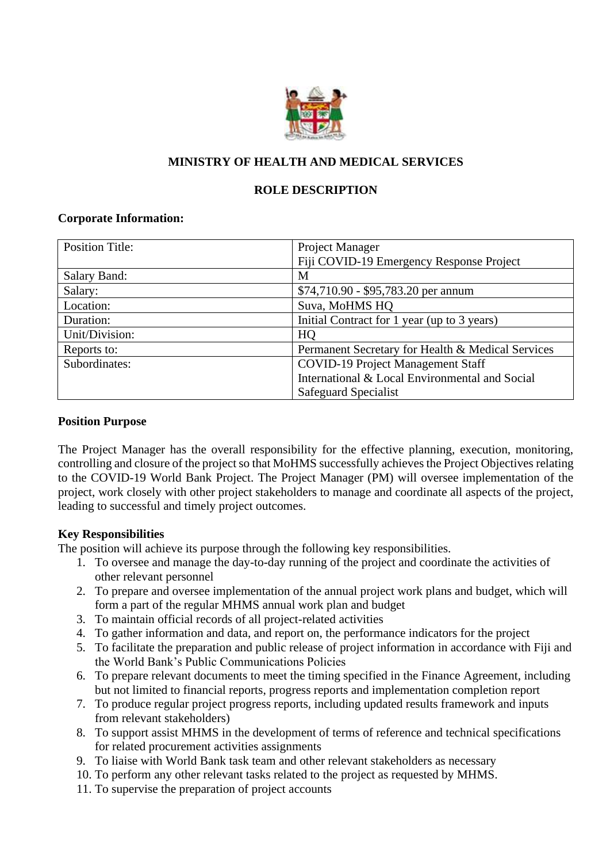

# **MINISTRY OF HEALTH AND MEDICAL SERVICES**

## **ROLE DESCRIPTION**

#### **Corporate Information:**

| <b>Position Title:</b> | Project Manager                                   |
|------------------------|---------------------------------------------------|
|                        | Fiji COVID-19 Emergency Response Project          |
| Salary Band:           | М                                                 |
| Salary:                | \$74,710.90 - \$95,783.20 per annum               |
| Location:              | Suva, MoHMS HQ                                    |
| Duration:              | Initial Contract for 1 year (up to 3 years)       |
| Unit/Division:         | HQ                                                |
| Reports to:            | Permanent Secretary for Health & Medical Services |
| Subordinates:          | <b>COVID-19 Project Management Staff</b>          |
|                        | International & Local Environmental and Social    |
|                        | Safeguard Specialist                              |

#### **Position Purpose**

The Project Manager has the overall responsibility for the effective planning, execution, monitoring, controlling and closure of the project so that MoHMS successfully achieves the Project Objectives relating to the COVID-19 World Bank Project. The Project Manager (PM) will oversee implementation of the project, work closely with other project stakeholders to manage and coordinate all aspects of the project, leading to successful and timely project outcomes.

#### **Key Responsibilities**

The position will achieve its purpose through the following key responsibilities.

- 1. To oversee and manage the day-to-day running of the project and coordinate the activities of other relevant personnel
- 2. To prepare and oversee implementation of the annual project work plans and budget, which will form a part of the regular MHMS annual work plan and budget
- 3. To maintain official records of all project-related activities
- 4. To gather information and data, and report on, the performance indicators for the project
- 5. To facilitate the preparation and public release of project information in accordance with Fiji and the World Bank's Public Communications Policies
- 6. To prepare relevant documents to meet the timing specified in the Finance Agreement, including but not limited to financial reports, progress reports and implementation completion report
- 7. To produce regular project progress reports, including updated results framework and inputs from relevant stakeholders)
- 8. To support assist MHMS in the development of terms of reference and technical specifications for related procurement activities assignments
- 9. To liaise with World Bank task team and other relevant stakeholders as necessary
- 10. To perform any other relevant tasks related to the project as requested by MHMS.
- 11. To supervise the preparation of project accounts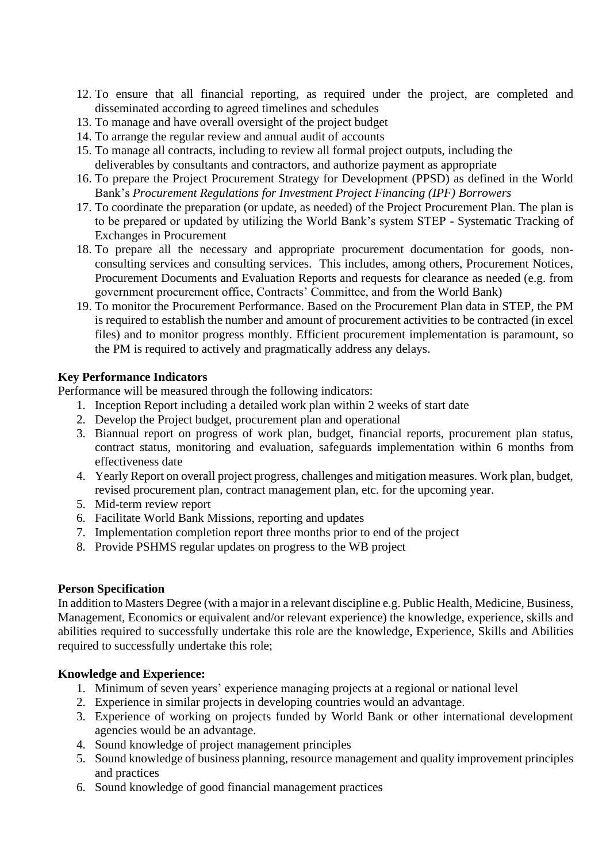- 12. To ensure that all financial reporting, as required under the project, are completed and disseminated according to agreed timelines and schedules
- 13. To manage and have overall oversight of the project budget
- 14. To arrange the regular review and annual audit of accounts
- 15. To manage all contracts, including to review all formal project outputs, including the deliverables by consultants and contractors, and authorize payment as appropriate
- 16. To prepare the Project Procurement Strategy for Development (PPSD) as defined in the World Bank's *Procurement Regulations for Investment Project Financing (IPF) Borrowers*
- 17. To coordinate the preparation (or update, as needed) of the Project Procurement Plan. The plan is to be prepared or updated by utilizing the World Bank's system STEP - Systematic Tracking of Exchanges in Procurement
- 18. To prepare all the necessary and appropriate procurement documentation for goods, nonconsulting services and consulting services. This includes, among others, Procurement Notices, Procurement Documents and Evaluation Reports and requests for clearance as needed (e.g. from government procurement office, Contracts' Committee, and from the World Bank)
- 19. To monitor the Procurement Performance. Based on the Procurement Plan data in STEP, the PM is required to establish the number and amount of procurement activities to be contracted (in excel files) and to monitor progress monthly. Efficient procurement implementation is paramount, so the PM is required to actively and pragmatically address any delays.

#### **Key Performance Indicators**

Performance will be measured through the following indicators:

- 1. Inception Report including a detailed work plan within 2 weeks of start date
- 2. Develop the Project budget, procurement plan and operational
- 3. Biannual report on progress of work plan, budget, financial reports, procurement plan status, contract status, monitoring and evaluation, safeguards implementation within 6 months from effectiveness date
- 4. Yearly Report on overall project progress, challenges and mitigation measures. Work plan, budget, revised procurement plan, contract management plan, etc. for the upcoming year.
- 5. Mid-term review report
- 6. Facilitate World Bank Missions, reporting and updates
- 7. Implementation completion report three months prior to end of the project
- 8. Provide PSHMS regular updates on progress to the WB project

#### **Person Specification**

In addition to Masters Degree (with a major in a relevant discipline e.g. Public Health, Medicine, Business, Management, Economics or equivalent and/or relevant experience) the knowledge, experience, skills and abilities required to successfully undertake this role are the knowledge, Experience, Skills and Abilities required to successfully undertake this role;

#### **Knowledge and Experience:**

- 1. Minimum of seven years' experience managing projects at a regional or national level
- 2. Experience in similar projects in developing countries would an advantage.
- 3. Experience of working on projects funded by World Bank or other international development agencies would be an advantage.
- 4. Sound knowledge of project management principles
- 5. Sound knowledge of business planning, resource management and quality improvement principles and practices
- 6. Sound knowledge of good financial management practices